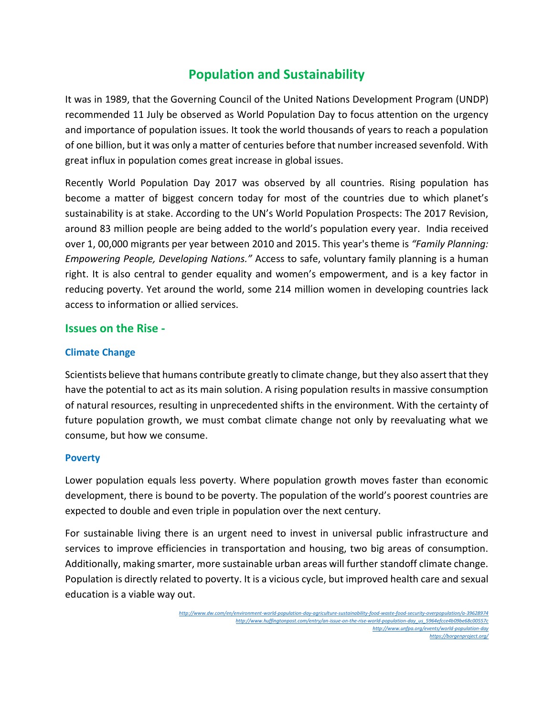# **Population and Sustainability**

It was in 1989, that the Governing Council of the United Nations Development Program (UNDP) recommended 11 July be observed as World Population Day to focus attention on the urgency and importance of population issues. It took the world thousands of years to reach a population of one billion, but it was only a matter of centuries before that number increased sevenfold. With great influx in population comes great increase in global issues.

Recently World Population Day 2017 was observed by all countries. Rising population has become a matter of biggest concern today for most of the countries due to which planet's sustainability is at stake. According to the UN's World Population Prospects: The 2017 Revision, around 83 million people are being added to the world's population every year. India received over 1, 00,000 migrants per year between 2010 and 2015. This year's theme is *"Family Planning: Empowering People, Developing Nations."* Access to safe, voluntary family planning is a human right. It is also central to gender equality and women's empowerment, and is a key factor in reducing poverty. Yet around the world, some 214 million women in developing countries lack access to information or allied services.

## **Issues on the Rise -**

### **Climate Change**

Scientists believe that humans contribute greatly to climate change, but they also assert that they have the potential to act as its main solution. A rising population results in massive consumption of natural resources, resulting in unprecedented shifts in the environment. With the certainty of future population growth, we must combat climate change not only by reevaluating what we consume, but how we consume.

#### **Poverty**

Lower population equals less poverty. Where population growth moves faster than economic development, there is bound to be poverty. The population of the world's poorest countries are expected to double and even triple in population over the next century.

For sustainable living there is an urgent need to invest in universal public infrastructure and services to improve efficiencies in transportation and housing, two big areas of consumption. Additionally, making smarter, more sustainable urban areas will further standoff climate change. Population is directly related to poverty. It is a vicious cycle, but improved health care and sexual education is a viable way out.

*<http://www.dw.com/en/environment-world-population-day-agriculture-sustainability-food-waste-food-security-overpopulation/a-39628974> [http://www.huffingtonpost.com/entry/an-issue-on-the-rise-world-population-day\\_us\\_5964efcce4b09be68c00557c](http://www.huffingtonpost.com/entry/an-issue-on-the-rise-world-population-day_us_5964efcce4b09be68c00557c) <http://www.unfpa.org/events/world-population-day> <https://borgenproject.org/>*